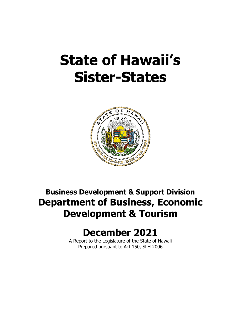# **State of Hawaii's Sister-States**



# **Business Development & Support Division Department of Business, Economic Development & Tourism**

# **December 2021**

A Report to the Legislature of the State of Hawaii Prepared pursuant to Act 150, SLH 2006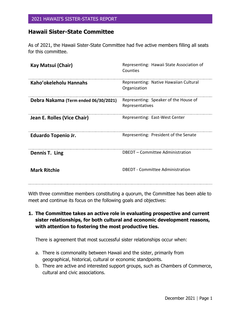# **Hawaii Sister-State Committee**

As of 2021, the Hawaii Sister-State Committee had five active members filling all seats for this committee.

| Kay Matsui (Chair)                   | Representing: Hawaii State Association of<br>Counties    |
|--------------------------------------|----------------------------------------------------------|
| Kaho'okeleholu Hannahs               | Representing: Native Hawaiian Cultural<br>Organization   |
| Debra Nakama (Term ended 06/30/2021) | Representing: Speaker of the House of<br>Representatives |
| Jean E. Rolles (Vice Chair)          | Representing: East-West Center                           |
| Eduardo Topenio Jr.                  | Representing: President of the Senate                    |
| Dennis T. Ling                       | DBEDT - Committee Administration                         |
| <b>Mark Ritchie</b>                  | <b>DBEDT</b> - Committee Administration                  |

With three committee members constituting a quorum, the Committee has been able to meet and continue its focus on the following goals and objectives:

**1. The Committee takes an active role in evaluating prospective and current sister relationships, for both cultural and economic development reasons, with attention to fostering the most productive ties.**

There is agreement that most successful sister relationships occur when:

- a. There is commonality between Hawaii and the sister, primarily from geographical, historical, cultural or economic standpoints.
- b. There are active and interested support groups, such as Chambers of Commerce, cultural and civic associations.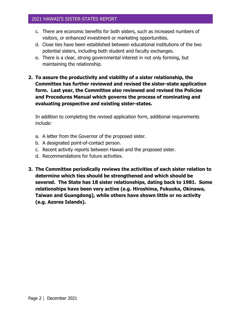- c. There are economic benefits for both sisters, such as increased numbers of visitors, or enhanced investment or marketing opportunities.
- d. Close ties have been established between educational institutions of the two potential sisters, including both student and faculty exchanges.
- e. There is a clear, strong governmental interest in not only forming, but maintaining the relationship.
- **2. To assure the productivity and viability of a sister relationship, the Committee has further reviewed and revised the sister-state application form. Last year, the Committee also reviewed and revised the Policies and Procedures Manual which governs the process of nominating and evaluating prospective and existing sister-states.**

In addition to completing the revised application form, additional requirements include:

- a. A letter from the Governor of the proposed sister.
- b. A designated point-of-contact person.
- c. Recent activity reports between Hawaii and the proposed sister.
- d. Recommendations for future activities.
- **3. The Committee periodically reviews the activities of each sister relation to determine which ties should be strengthened and which should be severed. The State has 18 sister relationships, dating back to 1981. Some relationships have been very active (e.g. Hiroshima, Fukuoka, Okinawa, Taiwan and Guangdong), while others have shown little or no activity (e.g. Azores Islands).**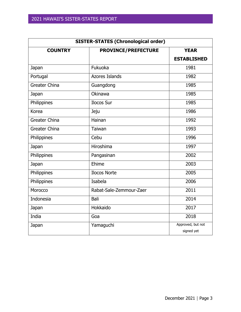| <b>SISTER-STATES (Chronological order)</b> |                         |                    |  |
|--------------------------------------------|-------------------------|--------------------|--|
| <b>COUNTRY</b>                             | PROVINCE/PREFECTURE     | <b>YEAR</b>        |  |
|                                            |                         | <b>ESTABLISHED</b> |  |
| Japan                                      | Fukuoka                 | 1981               |  |
| Portugal                                   | <b>Azores Islands</b>   | 1982               |  |
| <b>Greater China</b>                       | Guangdong               | 1985               |  |
| Japan                                      | Okinawa                 | 1985               |  |
| Philippines                                | Ilocos Sur              | 1985               |  |
| Korea                                      | Jeju                    | 1986               |  |
| <b>Greater China</b>                       | Hainan                  | 1992               |  |
| <b>Greater China</b>                       | Taiwan                  | 1993               |  |
| Philippines                                | Cebu                    | 1996               |  |
| Japan                                      | Hiroshima               | 1997               |  |
| Philippines                                | Pangasinan              | 2002               |  |
| Japan                                      | Ehime                   | 2003               |  |
| Philippines                                | <b>Ilocos Norte</b>     | 2005               |  |
| Philippines                                | Isabela                 | 2006               |  |
| Morocco                                    | Rabat-Sale-Zemmour-Zaer | 2011               |  |
| Indonesia                                  | Bali                    | 2014               |  |
| Japan                                      | Hokkaido                | 2017               |  |
| India                                      | Goa                     | 2018               |  |
| Japan                                      | Yamaguchi               | Approved, but not  |  |
|                                            |                         | signed yet         |  |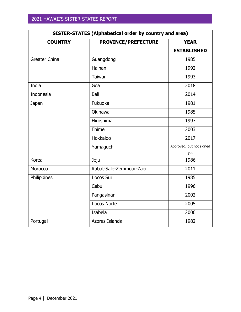<span id="page-4-0"></span>

| <b>SISTER-STATES (Alphabetical order by country and area)</b> |                            |                          |
|---------------------------------------------------------------|----------------------------|--------------------------|
| <b>COUNTRY</b>                                                | <b>PROVINCE/PREFECTURE</b> | <b>YEAR</b>              |
|                                                               |                            | <b>ESTABLISHED</b>       |
| Greater China                                                 | Guangdong                  | 1985                     |
|                                                               | Hainan                     | 1992                     |
|                                                               | Taiwan                     | 1993                     |
| India                                                         | Goa                        | 2018                     |
| Indonesia                                                     | Bali                       | 2014                     |
| Japan                                                         | Fukuoka                    | 1981                     |
|                                                               | Okinawa                    | 1985                     |
|                                                               | Hiroshima                  | 1997                     |
|                                                               | Ehime                      | 2003                     |
|                                                               | Hokkaido                   | 2017                     |
|                                                               | Yamaguchi                  | Approved, but not signed |
|                                                               |                            | yet                      |
| Korea                                                         | Jeju                       | 1986                     |
| Morocco                                                       | Rabat-Sale-Zemmour-Zaer    | 2011                     |
| Philippines                                                   | Ilocos Sur                 | 1985                     |
|                                                               | Cebu                       | 1996                     |
|                                                               | Pangasinan                 | 2002                     |
|                                                               | <b>Ilocos Norte</b>        | 2005                     |
|                                                               | Isabela                    | 2006                     |
| Portugal                                                      | <b>Azores Islands</b>      | 1982                     |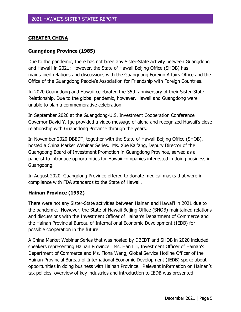#### **GREATER CHINA**

#### **Guangdong Province (1985)**

Due to the pandemic, there has not been any Sister-State activity between Guangdong and Hawai'i in 2021; However, the State of Hawaii Beijing Office (SHOB) has maintained relations and discussions with the Guangdong Foreign Affairs Office and the Office of the Guangdong People's Association for Friendship with Foreign Countries.

In 2020 Guangdong and Hawaii celebrated the 35th anniversary of their Sister-State Relationship. Due to the global pandemic, however, Hawaii and Guangdong were unable to plan a commemorative celebration.

In September 2020 at the Guangdong-U.S. Investment Cooperation Conference Governor David Y. Ige provided a video message of aloha and recognized Hawaii's close relationship with Guangdong Province through the years.

In November 2020 DBEDT, together with the State of Hawaii Beijing Office (SHOB), hosted a China Market Webinar Series. Ms. Xue Kaifang, Deputy Director of the Guangdong Board of Investment Promotion in Guangdong Province, served as a panelist to introduce opportunities for Hawaii companies interested in doing business in Guangdong.

In August 2020, Guangdong Province offered to donate medical masks that were in compliance with FDA standards to the State of Hawaii.

#### **Hainan Province (1992)**

There were not any Sister-State activities between Hainan and Hawai'i in 2021 due to the pandemic. However, the State of Hawaii Beijing Office (SHOB) maintained relations and discussions with the Investment Officer of Hainan's Department of Commerce and the Hainan Provincial Bureau of International Economic Development (IEDB) for possible cooperation in the future.

A China Market Webinar Series that was hosted by DBEDT and SHOB in 2020 included speakers representing Hainan Province. Ms. Han Lili, Investment Officer of Hainan's Department of Commerce and Ms. Fiona Wang, Global Service Hotline Officer of the Hainan Provincial Bureau of International Economic Development (IEDB) spoke about opportunities in doing business with Hainan Province. Relevant information on Hainan's tax policies, overview of key industries and introduction to IEDB was presented.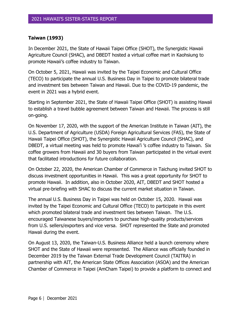# **Taiwan (1993)**

In December 2021, the State of Hawaii Taipei Office (SHOT), the Synergistic Hawaii Agriculture Council (SHAC), and DBEDT hosted a virtual coffee mart in Kaohsiung to promote Hawaii's coffee industry to Taiwan.

On October 5, 2021, Hawaii was invited by the Taipei Economic and Cultural Office (TECO) to participate the annual U.S. Business Day in Taipei to promote bilateral trade and investment ties between Taiwan and Hawaii. Due to the COVID-19 pandemic, the event in 2021 was a hybrid event.

Starting in September 2021, the State of Hawaii Taipei Office (SHOT) is assisting Hawaii to establish a travel bubble agreement between Taiwan and Hawaii. The process is still on-going.

On November 17, 2020, with the support of the American Institute in Taiwan (AIT), the U.S. Department of Agriculture (USDA) Foreign Agricultural Services (FAS), the State of Hawaii Taipei Office (SHOT), the Synergistic Hawaii Agriculture Council (SHAC), and DBEDT, a virtual meeting was held to promote Hawai'i 's coffee industry to Taiwan. Six coffee growers from Hawaii and 30 buyers from Taiwan participated in the virtual event that facilitated introductions for future collaboration.

On October 22, 2020, the American Chamber of Commerce in Taichung invited SHOT to discuss investment opportunities in Hawaii. This was a great opportunity for SHOT to promote Hawaii. In addition, also in October 2020, AIT, DBEDT and SHOT hosted a virtual pre-briefing with SHAC to discuss the current market situation in Taiwan.

The annual U.S. Business Day in Taipei was held on October 15, 2020. Hawaii was invited by the Taipei Economic and Cultural Office (TECO) to participate in this event which promoted bilateral trade and investment ties between Taiwan. The U.S. encouraged Taiwanese buyers/importers to purchase high-quality products/services from U.S. sellers/exporters and vice versa. SHOT represented the State and promoted Hawaii during the event.

On August 13, 2020, the Taiwan-U.S. Business Alliance held a launch ceremony where SHOT and the State of Hawaii were represented. The Alliance was officially founded in December 2019 by the Taiwan External Trade Development Council (TAITRA) in partnership with AIT, the American State Offices Association (ASOA) and the American Chamber of Commerce in Taipei (AmCham Taipei) to provide a platform to connect and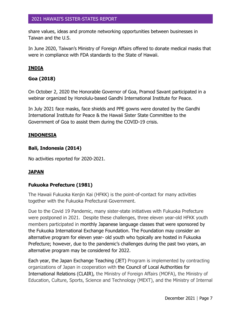share values, ideas and promote networking opportunities between businesses in Taiwan and the U.S.

In June 2020, Taiwan's Ministry of Foreign Affairs offered to donate medical masks that were in compliance with FDA standards to the State of Hawaii.

# **INDIA**

# **Goa (2018)**

On October 2, 2020 the Honorable Governor of Goa, Pramod Savant participated in a webinar organized by Honolulu-based Gandhi International Institute for Peace.

In July 2021 face masks, face shields and PPE gowns were donated by the Gandhi International Institute for Peace & the Hawaii Sister State Committee to the Government of Goa to assist them during the COVID-19 crisis.

#### **INDONESIA**

#### **Bali, Indonesia (2014)**

No activities reported for 2020-2021.

# **JAPAN**

#### **Fukuoka Prefecture (1981)**

<span id="page-7-0"></span>The Hawaii Fukuoka Kenjin Kai (HFKK) is the point-of-contact for many activities together with the Fukuoka Prefectural Government.

Due to the Covid 19 Pandemic, many sister-state initiatives with Fukuoka Prefecture were postponed in 2021. Despite these challenges, three eleven year-old HFKK youth members participated in monthly Japanese language classes that were sponsored by the Fukuoka International Exchange Foundation. The Foundation may consider an alternative program for eleven year- old youth who typically are hosted in Fukuoka Prefecture; however, due to the pandemic's challenges during the past two years, an alternative program may be considered for 2022.

Each year, the Japan Exchange Teaching (JET) Program is implemented by contracting organizations of Japan in cooperation with the Council of Local Authorities for International Relations (CLAIR), the Ministry of Foreign Affairs (MOFA), the Ministry of Education, Culture, Sports, Science and Technology (MEXT), and the Ministry of Internal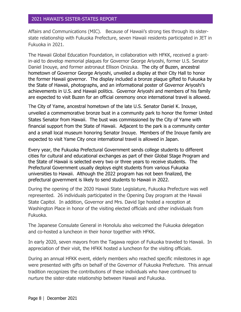Affairs and Communications (MIC). Because of Hawaii's strong ties through its sisterstate relationship with Fukuoka Prefecture, seven Hawaii residents participated in JET in Fukuoka in 2021.

The Hawaii Global Education Foundation, in collaboration with HFKK, received a grantin-aid to develop memorial plaques for Governor George Ariyoshi, former U.S. Senator Daniel Inouye, and former astronaut Ellison Onizuka. The city of Buzen, ancestral hometown of Governor George Ariyoshi, unveiled a display at their City Hall to honor the former Hawaii governor. The display included a bronze plaque gifted to Fukuoka by the State of Hawaii, photographs, and an informational poster of Governor Ariyoshi's achievements in U.S. and Hawaii politics. Governor Ariyoshi and members of his family are expected to visit Buzen for an official ceremony once international travel is allowed.

The City of Yame, ancestral hometown of the late U.S. Senator Daniel K. Inouye, unveiled a commemorative bronze bust in a community park to honor the former United States Senator from Hawaii. The bust was commissioned by the City of Yame with financial support from the State of Hawaii. Adjacent to the park is a community center and a small local museum honoring Senator Inouye. Members of the Inouye family are expected to visit Yame City once international travel is allowed in Japan.

Every year, the Fukuoka Prefectural Government sends college students to different cities for cultural and educational exchanges as part of their Global Stage Program and the State of Hawaii is selected every two or three years to receive students. The Prefectural Government usually deploys eight students from various Fukuoka universities to Hawaii. Although the 2022 program has not been finalized, the prefectural government is likely to send students to Hawaii in 2022.

During the opening of the 2020 Hawaii State Legislature, Fukuoka Prefecture was well represented. 26 individuals participated in the Opening Day program at the Hawaii State Capitol. In addition, Governor and Mrs. David Ige hosted a reception at Washington Place in honor of the visiting elected officials and other individuals from Fukuoka.

The Japanese Consulate General in Honolulu also welcomed the Fukuoka delegation and co-hosted a luncheon in their honor together with HFKK.

In early 2020, seven mayors from the Tagawa region of Fukuoka traveled to Hawaii. In appreciation of their visit, the HFKK hosted a luncheon for the visiting officials.

During an annual HFKK event, elderly members who reached specific milestones in age were presented with gifts on behalf of the Governor of Fukuoka Prefecture. This annual tradition recognizes the contributions of these individuals who have continued to nurture the sister-state relationship between Hawaii and Fukuoka.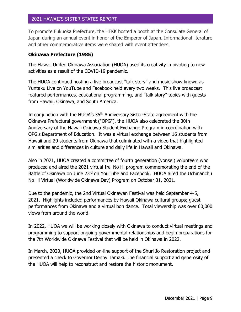To promote Fukuoka Prefecture, the HFKK hosted a booth at the Consulate General of Japan during an annual event in honor of the Emperor of Japan. Informational literature and other commemorative items were shared with event attendees.

#### <span id="page-9-0"></span>**Okinawa Prefecture (1985)**

The Hawaii United Okinawa Association (HUOA) used its creativity in pivoting to new activities as a result of the COVID-19 pandemic.

The HUOA continued hosting a live broadcast "talk story" and music show known as Yuntaku Live on YouTube and Facebook held every two weeks. This live broadcast featured performances, educational programming, and "talk story" topics with guests from Hawaii, Okinawa, and South America.

In conjunction with the HUOA's 35<sup>th</sup> Anniversary Sister-State agreement with the Okinawa Prefectural government ("OPG"), the HUOA also celebrated the 30th Anniversary of the Hawaii Okinawa Student Exchange Program in coordination with OPG's Department of Education. It was a virtual exchange between 16 students from Hawaii and 20 students from Okinawa that culminated with a video that highlighted similarities and differences in culture and daily life in Hawaii and Okinawa.

Also in 2021, HUOA created a committee of fourth generation (yonsei) volunteers who produced and aired the 2021 virtual Irei No Hi program commemorating the end of the Battle of Okinawa on June 23rd on YouTube and Facebook. HUOA aired the Uchinanchu No Hi Virtual (Worldwide Okinawa Day) Program on October 31, 2021.

Due to the pandemic, the 2nd Virtual Okinawan Festival was held September 4-5, 2021. Highlights included performances by Hawaii Okinawa cultural groups; guest performances from Okinawa and a virtual bon dance. Total viewership was over 60,000 views from around the world.

In 2022, HUOA we will be working closely with Okinawa to conduct virtual meetings and programming to support ongoing governmental relationships and begin preparations for the 7th Worldwide Okinawa Festival that will be held in Okinawa in 2022.

In March, 2020, HUOA provided on-line support of the Shuri Jo Restoration project and presented a check to Governor Denny Tamaki. The financial support and generosity of the HUOA will help to reconstruct and restore the historic monument.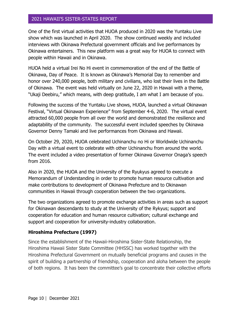One of the first virtual activities that HUOA produced in 2020 was the Yuntaku Live show which was launched in April 2020. The show continued weekly and included interviews with Okinawa Prefectural government officials and live performances by Okinawa entertainers. This new platform was a great way for HUOA to connect with people within Hawaii and in Okinawa.

HUOA held a virtual Irei No Hi event in commemoration of the end of the Battle of Okinawa, Day of Peace. It is known as Okinawa's Memorial Day to remember and honor over 240,000 people, both military and civilians, who lost their lives in the Battle of Okinawa. The event was held virtually on June 22, 2020 in Hawaii with a theme, "Ukaji Deebiru," which means, with deep gratitude, I am what I am because of you.

Following the success of the Yuntaku Live shows, HUOA, launched a virtual Okinawan Festival, "Virtual Okinawan Experience" from September 4-6, 2020. The virtual event attracted 60,000 people from all over the world and demonstrated the resilience and adaptability of the community. The successful event included speeches by Okinawa Governor Denny Tamaki and live performances from Okinawa and Hawaii.

On October 29, 2020, HUOA celebrated Uchinanchu no Hi or Worldwide Uchinanchu Day with a virtual event to celebrate with other Uchinanchu from around the world. The event included a video presentation of former Okinawa Governor Onaga's speech from 2016.

Also in 2020, the HUOA and the University of the Ryukyus agreed to execute a Memorandum of Understanding in order to promote human resource cultivation and make contributions to development of Okinawa Prefecture and to Okinawan communities in Hawaii through cooperation between the two organizations.

The two organizations agreed to promote exchange activities in areas such as support for Okinawan descendants to study at the University of the Rykyus; support and cooperation for education and human resource cultivation; cultural exchange and support and cooperation for university-industry collaboration.

# **Hiroshima Prefecture (1997)**

Since the establishment of the Hawaii-Hiroshima Sister-State Relationship, the Hiroshima Hawaii Sister State Committee (HHSSC) has worked together with the Hiroshima Prefectural Government on mutually beneficial programs and causes in the spirit of building a partnership of friendship, cooperation and aloha between the people of both regions. It has been the committee's goal to concentrate their collective efforts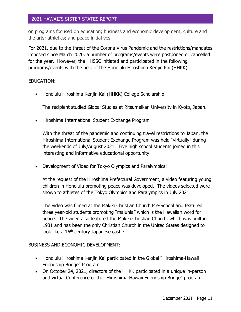on programs focused on education; business and economic development; culture and the arts; athletics; and peace initiatives.

For 2021, due to the threat of the Corona Virus Pandemic and the restrictions/mandates imposed since March 2020, a number of programs/events were postponed or cancelled for the year. However, the HHSSC initiated and participated in the following programs/events with the help of the Honolulu Hiroshima Kenjin Kai (HHKK):

#### EDUCATION:

• Honolulu Hiroshima Kenjin Kai (HHKK) College Scholarship

The recipient studied Global Studies at Ritsumeikan University in Kyoto, Japan.

• Hiroshima International Student Exchange Program

With the threat of the pandemic and continuing travel restrictions to Japan, the Hiroshima International Student Exchange Program was held "virtually" during the weekends of July/August 2021. Five high school students joined in this interesting and informative educational opportunity.

• Development of Video for Tokyo Olympics and Paralympics:

At the request of the Hiroshima Prefectural Government, a video featuring young children in Honolulu promoting peace was developed. The videos selected were shown to athletes of the Tokyo Olympics and Paralympics in July 2021.

The video was filmed at the Makiki Christian Church Pre-School and featured three year-old students promoting "maluhia" which is the Hawaiian word for peace. The video also featured the Makiki Christian Church, which was built in 1931 and has been the only Christian Church in the United States designed to look like a 16<sup>th</sup> century Japanese castle.

BUSINESS AND ECONOMIC DEVELOPMENT:

- Honolulu Hiroshima Kenjin Kai participated in the Global "Hiroshima-Hawaii Friendship Bridge" Program
- On October 24, 2021, directors of the HHKK participated in a unique in-person and virtual Conference of the "Hiroshima-Hawaii Friendship Bridge" program.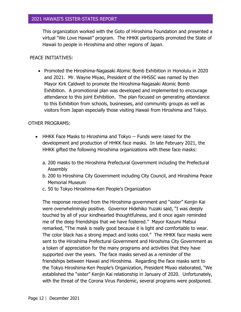This organization worked with the Goto of Hiroshima Foundation and presented a virtual "We Love Hawaii" program. The HHKK participants promoted the State of Hawaii to people in Hiroshima and other regions of Japan.

# PEACE INITIATIVES:

• Promoted the Hiroshima-Nagasaki Atomic Bomb Exhibition in Honolulu in 2020 and 2021. Mr. Wayne Miyao, President of the HHSSC was named by then Mayor Kirk Caldwell to promote the Hiroshima-Nagasaki Atomic Bomb Exhibition. A promotional plan was developed and implemented to encourage attendance to this joint Exhibition. The plan focused on generating attendance to this Exhibition from schools, businesses, and community groups as well as visitors from Japan especially those visiting Hawaii from Hiroshima and Tokyo.

# OTHER PROGRAMS:

- HHKK Face Masks to Hiroshima and Tokyo -- Funds were raised for the development and production of HHKK face masks. In late February 2021, the HHKK gifted the following Hiroshima organizations with these face masks:
	- a. 200 masks to the Hiroshima Prefectural Government including the Prefectural Assembly
	- b. 200 to Hiroshima City Government including City Council, and Hiroshima Peace Memorial Museum
	- c. 50 to Tokyo Hiroshima-Ken People's Organization

The response received from the Hiroshima government and "sister" Kenjin Kai were overwhelmingly positive. Governor Hidehiko Yuzaki said, "I was deeply touched by all of your kindhearted thoughtfulness, and it once again reminded me of the deep friendships that we have fostered." Mayor Kazumi Matsui remarked, "The mask is really good because it is light and comfortable to wear. The color black has a strong impact and looks cool." The HHKK face masks were sent to the Hiroshima Prefectural Government and Hiroshima City Government as a token of appreciation for the many programs and activities that they have supported over the years. The face masks served as a reminder of the friendships between Hawaii and Hiroshima. Regarding the face masks sent to the Tokyo Hiroshima-Ken People's Organization, President Miyao elaborated, "We established the "sister" Kenjin Kai relationship in January of 2020. Unfortunately, with the threat of the Corona Virus Pandemic, several programs were postponed.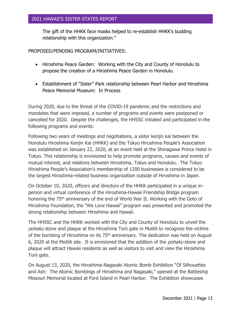The gift of the HHKK face masks helped to re-establish HHKK's budding relationship with this organization."

#### PROPOSED/PENDING PROGRAM/INITIATIVES:

- Hiroshima Peace Garden: Working with the City and County of Honolulu to propose the creation of a Hiroshima Peace Garden in Honolulu.
- Establishment of "Sister" Park relationship between Pearl Harbor and Hiroshima Peace Memorial Museum: In Process

During 2020, due to the threat of the COVID-19 pandemic and the restrictions and mandates that were imposed, a number of programs and events were postponed or cancelled for 2020. Despite the challenges, the HHSSC initiated and participated in the following programs and events:

Following two years of meetings and negotiations, a sister kenjin kai between the Honolulu Hiroshima Kenjin Kai (HHKK) and the Tokyo Hiroshima People's Association was established on January 22, 2020, at an event held at the Shinagawa Prince Hotel in Tokyo. This relationship is envisioned to help promote programs, causes and events of mutual interest, and relations between Hiroshima, Tokyo and Honolulu. The Tokyo Hiroshima People's Association's membership of 1200 businesses is considered to be the largest Hiroshima-related business organization outside of Hiroshima in Japan.

On October 10, 2020, officers and directors of the HHKK participated in a unique inperson and virtual conference of the Hiroshima-Hawaii Friendship Bridge program honoring the 75<sup>th</sup> anniversary of the end of World War II. Working with the Goto of Hiroshima Foundation, the "We Love Hawaii" program was presented and promoted the strong relationship between Hiroshima and Hawaii.

The HHSSC and the HHKK worked with the City and County of Honolulu to unveil the pohaku stone and plaque at the Hiroshima Torii gate in Moiliili to recognize the victims of the bombing of Hiroshima on its 75<sup>th</sup> anniversary. The dedication was held on August 6, 2020 at the Moiliili site. It is envisioned that the addition of the *pohaku* stone and plaque will attract Hawaii residents as well as visitors to visit and view the Hiroshima Torii gate.

On August 13, 2020, the Hiroshima-Nagasaki Atomic Bomb Exhibition "Of Silhouettes and Ash: The Atomic Bombings of Hiroshima and Nagasaki," opened at the Battleship Missouri Memorial located at Ford Island in Pearl Harbor. The Exhibition showcases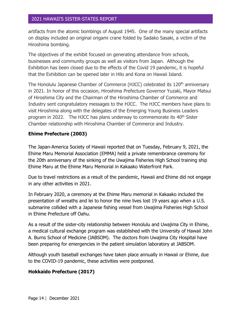artifacts from the atomic bombings of August 1945. One of the many special artifacts on display included an original origami crane folded by Sadako Sasaki, a victim of the Hiroshima bombing.

The objectives of the exhibit focused on generating attendance from schools, businesses and community groups as well as visitors from Japan. Although the Exhibition has been closed due to the effects of the Covid 19 pandemic, it is hopeful that the Exhibition can be opened later in Hilo and Kona on Hawaii Island.

The Honolulu Japanese Chamber of Commerce (HJCC) celebrated its 120<sup>th</sup> anniversary in 2021. In honor of this occasion, Hiroshima Prefecture Governor Yuzaki, Mayor Matsui of Hiroshima City and the Chairman of the Hiroshima Chamber of Commerce and Industry sent congratulatory messages to the HJCC. The HJCC members have plans to visit Hiroshima along with the delegates of the Emerging Young Business Leaders program in 2022. The HJCC has plans underway to commemorate its 40<sup>th</sup> Sister Chamber relationship with Hiroshima Chamber of Commerce and Industry.

# **Ehime Prefecture (2003)**

The Japan-America Society of Hawaii reported that on Tuesday, February 9, 2021, the Ehime Maru Memorial Association (EMMA) held a private remembrance ceremony for the 20th anniversary of the sinking of the Uwajima Fisheries High School training ship Ehime Maru at the Ehime Maru Memorial in Kakaako Waterfront Park.

Due to travel restrictions as a result of the pandemic, Hawaii and Ehime did not engage in any other activities in 2021.

In February 2020, a ceremony at the Ehime Maru memorial in Kakaako included the presentation of wreaths and lei to honor the nine lives lost 19 years ago when a U.S. submarine collided with a Japanese fishing vessel from Uwajima Fisheries High School in Ehime Prefecture off Oahu.

As a result of the sister-city relationship between Honolulu and Uwajima City in Ehime, a medical cultural exchange program was established with the University of Hawaii John A. Burns School of Medicine (JABSOM). The doctors from Uwajima City Hospital have been preparing for emergencies in the patient simulation laboratory at JABSOM.

Although youth baseball exchanges have taken place annually in Hawaii or Ehime, due to the COVID-19 pandemic, these activities were postponed.

# **Hokkaido Prefecture (2017)**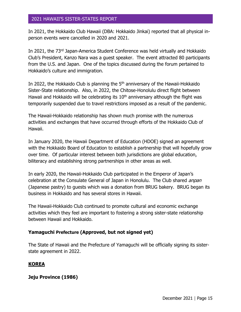In 2021, the Hokkaido Club Hawaii (DBA: Hokkaido Jinkai) reported that all physical inperson events were cancelled in 2020 and 2021.

In 2021, the 73rd Japan-America Student Conference was held virtually and Hokkaido Club's President, Kanzo Nara was a guest speaker. The event attracted 80 participants from the U.S. and Japan. One of the topics discussed during the forum pertained to Hokkaido's culture and immigration.

In 2022, the Hokkaido Club is planning the 5<sup>th</sup> anniversary of the Hawaii-Hokkaido Sister-State relationship. Also, in 2022, the Chitose-Honolulu direct flight between Hawaii and Hokkaido will be celebrating its  $10<sup>th</sup>$  anniversary although the flight was temporarily suspended due to travel restrictions imposed as a result of the pandemic.

The Hawaii-Hokkaido relationship has shown much promise with the numerous activities and exchanges that have occurred through efforts of the Hokkaido Club of Hawaii.

In January 2020, the Hawaii Department of Education (HDOE) signed an agreement with the Hokkaido Board of Education to establish a partnership that will hopefully grow over time. Of particular interest between both jurisdictions are global education, biliteracy and establishing strong partnerships in other areas as well.

In early 2020, the Hawaii-Hokkaido Club participated in the Emperor of Japan's celebration at the Consulate General of Japan in Honolulu. The Club shared *anpan* (Japanese pastry) to guests which was a donation from BRUG bakery. BRUG began its business in Hokkaido and has several stores in Hawaii.

The Hawaii-Hokkaido Club continued to promote cultural and economic exchange activities which they feel are important to fostering a strong sister-state relationship between Hawaii and Hokkaido.

#### **Yamaguchi Prefecture (Approved, but not signed yet)**

The State of Hawaii and the Prefecture of Yamaguchi will be officially signing its sisterstate agreement in 2022.

# **KOREA**

**Jeju Province (1986)**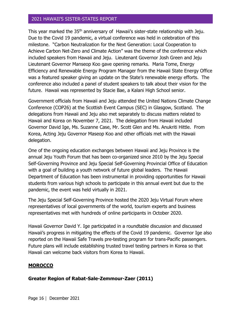This year marked the 35<sup>th</sup> anniversary of Hawaii's sister-state relationship with Jeju. Due to the Covid 19 pandemic, a virtual conference was held in celebration of this milestone. "Carbon Neutralization for the Next Generation: Local Cooperation to Achieve Carbon Net-Zero and Climate Action" was the theme of the conference which included speakers from Hawaii and Jeju. Lieutenant Governor Josh Green and Jeju Lieutenant Governor Manseop Koo gave opening remarks. Maria Tome, Energy Efficiency and Renewable Energy Program Manager from the Hawaii State Energy Office was a featured speaker giving an update on the State's renewable energy efforts. The conference also included a panel of student speakers to talk about their vision for the future. Hawaii was represented by Stacie Bae, a Kalani High School senior.

Government officials from Hawaii and Jeju attended the United Nations Climate Change Conference (COP26) at the Scottish Event Campus (SEC) in Glasgow, Scotland. The delegations from Hawaii and Jeju also met separately to discuss matters related to Hawaii and Korea on November 7, 2021. The delegation from Hawaii included Governor David Ige, Ms. Suzanne Case, Mr. Scott Glen and Ms. Anukriti Hittle. From Korea, Acting Jeju Governor Maseop Koo and other officials met with the Hawaii delegation.

One of the ongoing education exchanges between Hawaii and Jeju Province is the annual Jeju Youth Forum that has been co-organized since 2010 by the Jeju Special Self-Governing Province and Jeju Special Self-Governing Provincial Office of Education with a goal of building a youth network of future global leaders. The Hawaii Department of Education has been instrumental in providing opportunities for Hawaii students from various high schools to participate in this annual event but due to the pandemic, the event was held virtually in 2021.

The Jeju Special Self-Governing Province hosted the 2020 Jeju Virtual Forum where representatives of local governments of the world, tourism experts and business representatives met with hundreds of online participants in October 2020.

Hawaii Governor David Y. Ige participated in a roundtable discussion and discussed Hawaii's progress in mitigating the effects of the Covid 19 pandemic. Governor Ige also reported on the Hawaii Safe Travels pre-testing program for trans-Pacific passengers. Future plans will include establishing trusted travel testing partners in Korea so that Hawaii can welcome back visitors from Korea to Hawaii.

# **MOROCCO**

# **Greater Region of Rabat-Sale-Zemmour-Zaer (2011)**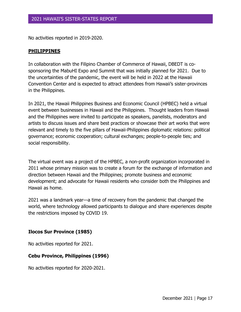No activities reported in 2019-2020.

#### **PHILIPPINES**

In collaboration with the Filipino Chamber of Commerce of Hawaii, DBEDT is cosponsoring the MabuHI Expo and Summit that was initially planned for 2021. Due to the uncertainties of the pandemic, the event will be held in 2022 at the Hawaii Convention Center and is expected to attract attendees from Hawaii's sister-provinces in the Philippines.

In 2021, the Hawaii Philippines Business and Economic Council (HPBEC) held a virtual event between businesses in Hawaii and the Philippines. Thought leaders from Hawaii and the Philippines were invited to participate as speakers, panelists, moderators and artists to discuss issues and share best practices or showcase their art works that were relevant and timely to the five pillars of Hawaii-Philippines diplomatic relations: political governance; economic cooperation; cultural exchanges; people-to-people ties; and social responsibility.

The virtual event was a project of the HPBEC, a non-profit organization incorporated in 2011 whose primary mission was to create a forum for the exchange of information and direction between Hawaii and the Philippines; promote business and economic development; and advocate for Hawaii residents who consider both the Philippines and Hawaii as home.

2021 was a landmark year—a time of recovery from the pandemic that changed the world, where technology allowed participants to dialogue and share experiences despite the restrictions imposed by COVID 19.

# **Ilocos Sur Province (1985)**

No activities reported for 2021.

# **Cebu Province, Philippines (1996)**

No activities reported for 2020-2021.